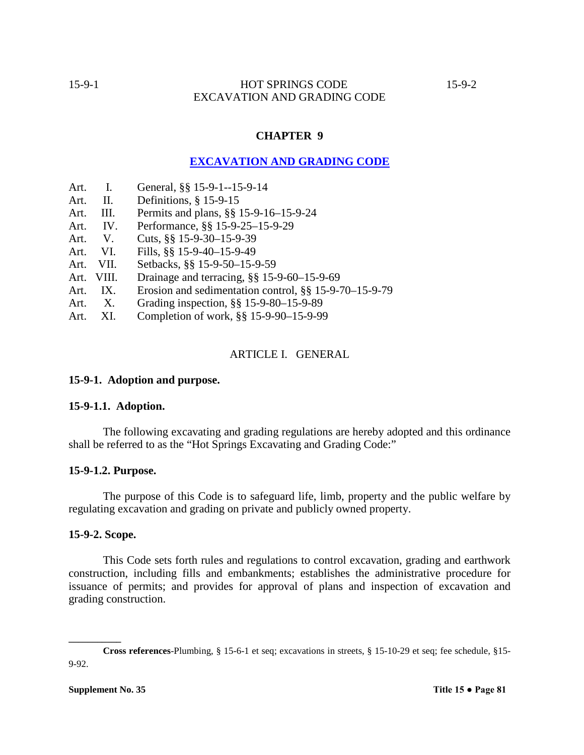# 15-9-1 HOT SPRINGS CODE 15-9-2 EXCAVATION AND GRADING CODE

# **CHAPTER 9**

# **EXCAVATION AND GRADING CODE**

- Art. I. General, §§ 15-9-1--15-9-14
- Art. II. Definitions, § 15-9-15
- Art. III. Permits and plans, §§ 15-9-16–15-9-24
- Art. IV. Performance, §§ 15-9-25–15-9-29
- Art. V. Cuts, §§ 15-9-30–15-9-39
- Art. VI. Fills, §§ 15-9-40–15-9-49
- Art. VII. Setbacks, §§ 15-9-50–15-9-59
- Art. VIII. Drainage and terracing, §§ 15-9-60–15-9-69
- Art. IX. Erosion and sedimentation control, §§ 15-9-70–15-9-79
- Art. X. Grading inspection, §§ 15-9-80–15-9-89
- Art. XI. Completion of work, §§ 15-9-90–15-9-99

## ARTICLE I. GENERAL

#### **15-9-1. Adoption and purpose.**

## **15-9-1.1. Adoption.**

The following excavating and grading regulations are hereby adopted and this ordinance shall be referred to as the "Hot Springs Excavating and Grading Code:"

#### **15-9-1.2. Purpose.**

The purpose of this Code is to safeguard life, limb, property and the public welfare by regulating excavation and grading on private and publicly owned property.

# **15-9-2. Scope.**

This Code sets forth rules and regulations to control excavation, grading and earthwork construction, including fills and embankments; establishes the administrative procedure for issuance of permits; and provides for approval of plans and inspection of excavation and grading construction.

**\_\_\_\_\_\_\_\_\_\_\_**

**Cross references**-Plumbing, § 15-6-1 et seq; excavations in streets, § 15-10-29 et seq; fee schedule, §15- 9-92.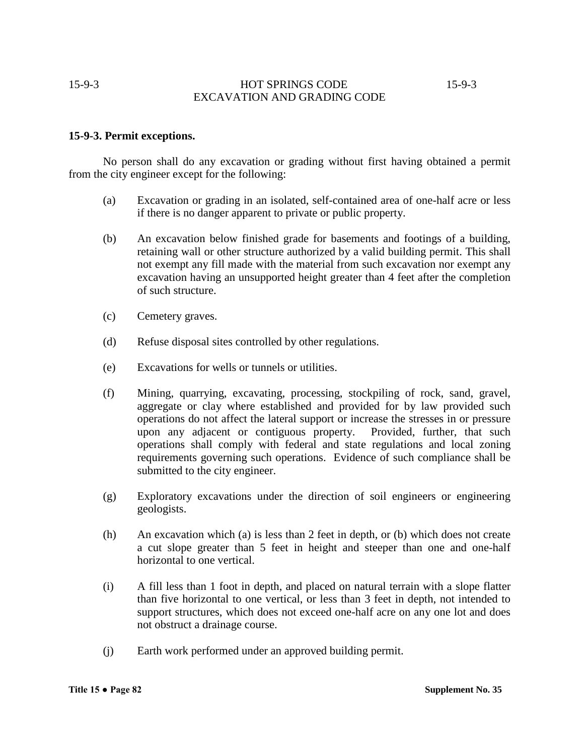# 15-9-3 HOT SPRINGS CODE 15-9-3 EXCAVATION AND GRADING CODE

# **15-9-3. Permit exceptions.**

No person shall do any excavation or grading without first having obtained a permit from the city engineer except for the following:

- (a) Excavation or grading in an isolated, self-contained area of one-half acre or less if there is no danger apparent to private or public property.
- (b) An excavation below finished grade for basements and footings of a building, retaining wall or other structure authorized by a valid building permit. This shall not exempt any fill made with the material from such excavation nor exempt any excavation having an unsupported height greater than 4 feet after the completion of such structure.
- (c) Cemetery graves.
- (d) Refuse disposal sites controlled by other regulations.
- (e) Excavations for wells or tunnels or utilities.
- (f) Mining, quarrying, excavating, processing, stockpiling of rock, sand, gravel, aggregate or clay where established and provided for by law provided such operations do not affect the lateral support or increase the stresses in or pressure upon any adjacent or contiguous property. Provided, further, that such operations shall comply with federal and state regulations and local zoning requirements governing such operations. Evidence of such compliance shall be submitted to the city engineer.
- (g) Exploratory excavations under the direction of soil engineers or engineering geologists.
- (h) An excavation which (a) is less than 2 feet in depth, or (b) which does not create a cut slope greater than 5 feet in height and steeper than one and one-half horizontal to one vertical.
- (i) A fill less than 1 foot in depth, and placed on natural terrain with a slope flatter than five horizontal to one vertical, or less than 3 feet in depth, not intended to support structures, which does not exceed one-half acre on any one lot and does not obstruct a drainage course.
- (j) Earth work performed under an approved building permit.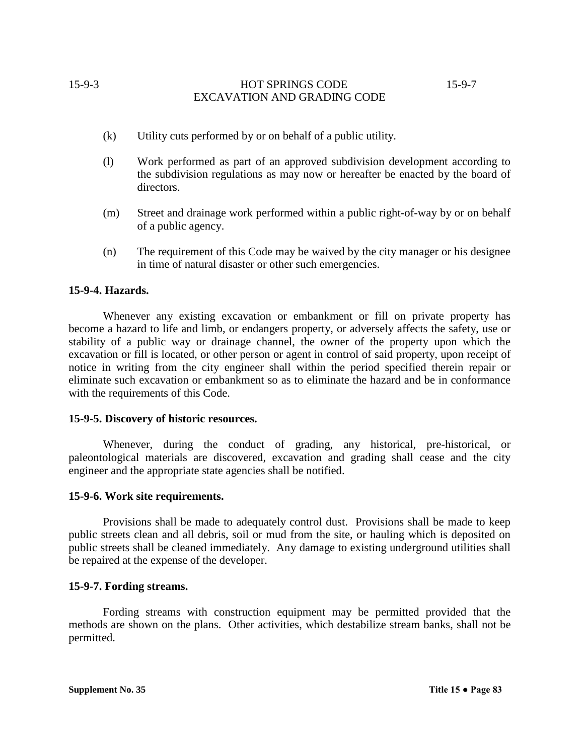# 15-9-3 HOT SPRINGS CODE 15-9-7 EXCAVATION AND GRADING CODE

- (k) Utility cuts performed by or on behalf of a public utility.
- (l) Work performed as part of an approved subdivision development according to the subdivision regulations as may now or hereafter be enacted by the board of directors.
- (m) Street and drainage work performed within a public right-of-way by or on behalf of a public agency.
- (n) The requirement of this Code may be waived by the city manager or his designee in time of natural disaster or other such emergencies.

## **15-9-4. Hazards.**

Whenever any existing excavation or embankment or fill on private property has become a hazard to life and limb, or endangers property, or adversely affects the safety, use or stability of a public way or drainage channel, the owner of the property upon which the excavation or fill is located, or other person or agent in control of said property, upon receipt of notice in writing from the city engineer shall within the period specified therein repair or eliminate such excavation or embankment so as to eliminate the hazard and be in conformance with the requirements of this Code.

#### **15-9-5. Discovery of historic resources.**

Whenever, during the conduct of grading, any historical, pre-historical, or paleontological materials are discovered, excavation and grading shall cease and the city engineer and the appropriate state agencies shall be notified.

#### **15-9-6. Work site requirements.**

Provisions shall be made to adequately control dust. Provisions shall be made to keep public streets clean and all debris, soil or mud from the site, or hauling which is deposited on public streets shall be cleaned immediately. Any damage to existing underground utilities shall be repaired at the expense of the developer.

#### **15-9-7. Fording streams.**

Fording streams with construction equipment may be permitted provided that the methods are shown on the plans. Other activities, which destabilize stream banks, shall not be permitted.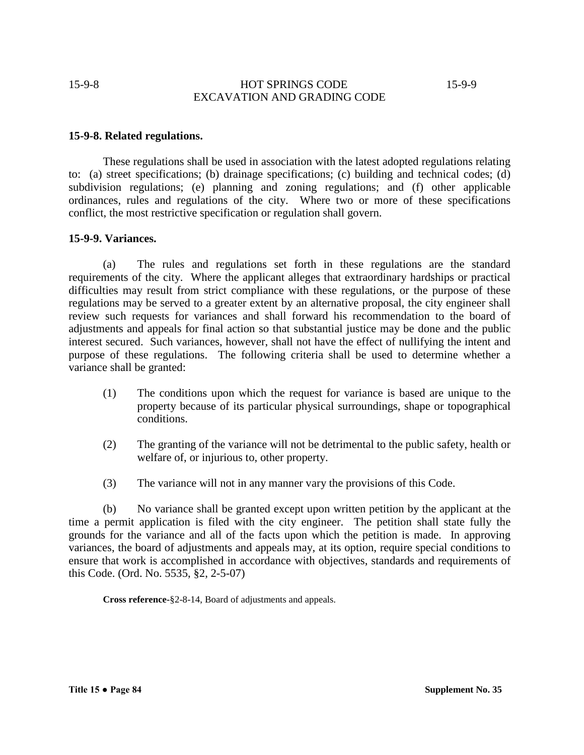# 15-9-8 HOT SPRINGS CODE 15-9-9 EXCAVATION AND GRADING CODE

## **15-9-8. Related regulations.**

These regulations shall be used in association with the latest adopted regulations relating to: (a) street specifications; (b) drainage specifications; (c) building and technical codes; (d) subdivision regulations; (e) planning and zoning regulations; and (f) other applicable ordinances, rules and regulations of the city. Where two or more of these specifications conflict, the most restrictive specification or regulation shall govern.

## **15-9-9. Variances.**

(a) The rules and regulations set forth in these regulations are the standard requirements of the city. Where the applicant alleges that extraordinary hardships or practical difficulties may result from strict compliance with these regulations, or the purpose of these regulations may be served to a greater extent by an alternative proposal, the city engineer shall review such requests for variances and shall forward his recommendation to the board of adjustments and appeals for final action so that substantial justice may be done and the public interest secured. Such variances, however, shall not have the effect of nullifying the intent and purpose of these regulations. The following criteria shall be used to determine whether a variance shall be granted:

- (1) The conditions upon which the request for variance is based are unique to the property because of its particular physical surroundings, shape or topographical conditions.
- (2) The granting of the variance will not be detrimental to the public safety, health or welfare of, or injurious to, other property.
- (3) The variance will not in any manner vary the provisions of this Code.

(b) No variance shall be granted except upon written petition by the applicant at the time a permit application is filed with the city engineer. The petition shall state fully the grounds for the variance and all of the facts upon which the petition is made. In approving variances, the board of adjustments and appeals may, at its option, require special conditions to ensure that work is accomplished in accordance with objectives, standards and requirements of this Code. (Ord. No. 5535, §2, 2-5-07)

**Cross reference-**§2-8-14, Board of adjustments and appeals.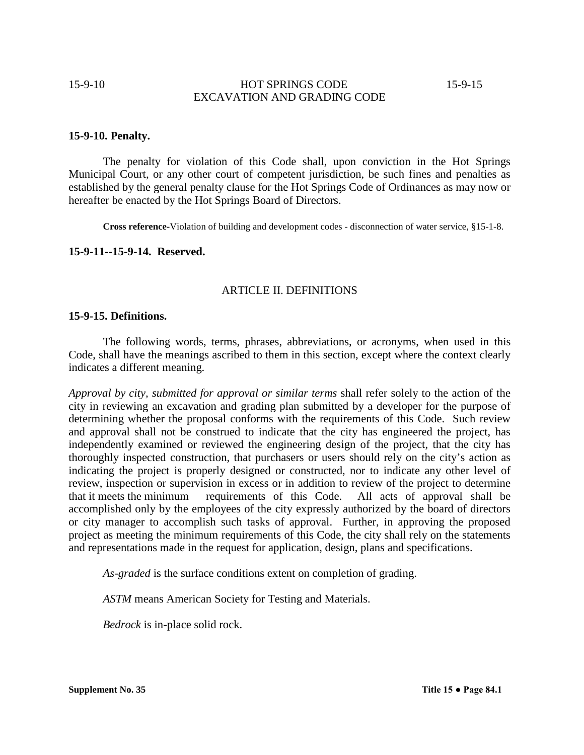# 15-9-10 **HOT SPRINGS CODE** 15-9-15 EXCAVATION AND GRADING CODE

#### **15-9-10. Penalty.**

The penalty for violation of this Code shall, upon conviction in the Hot Springs Municipal Court, or any other court of competent jurisdiction, be such fines and penalties as established by the general penalty clause for the Hot Springs Code of Ordinances as may now or hereafter be enacted by the Hot Springs Board of Directors.

**Cross reference-**Violation of building and development codes - disconnection of water service, §15-1-8.

# **15-9-11--15-9-14. Reserved.**

#### ARTICLE II. DEFINITIONS

## **15-9-15. Definitions.**

The following words, terms, phrases, abbreviations, or acronyms, when used in this Code, shall have the meanings ascribed to them in this section, except where the context clearly indicates a different meaning.

*Approval by city, submitted for approval or similar terms* shall refer solely to the action of the city in reviewing an excavation and grading plan submitted by a developer for the purpose of determining whether the proposal conforms with the requirements of this Code. Such review and approval shall not be construed to indicate that the city has engineered the project, has independently examined or reviewed the engineering design of the project, that the city has thoroughly inspected construction, that purchasers or users should rely on the city's action as indicating the project is properly designed or constructed, nor to indicate any other level of review, inspection or supervision in excess or in addition to review of the project to determine that it meets the minimum requirements of this Code. All acts of approval shall be accomplished only by the employees of the city expressly authorized by the board of directors or city manager to accomplish such tasks of approval. Further, in approving the proposed project as meeting the minimum requirements of this Code, the city shall rely on the statements and representations made in the request for application, design, plans and specifications.

*As-graded* is the surface conditions extent on completion of grading.

*ASTM* means American Society for Testing and Materials.

*Bedrock* is in-place solid rock.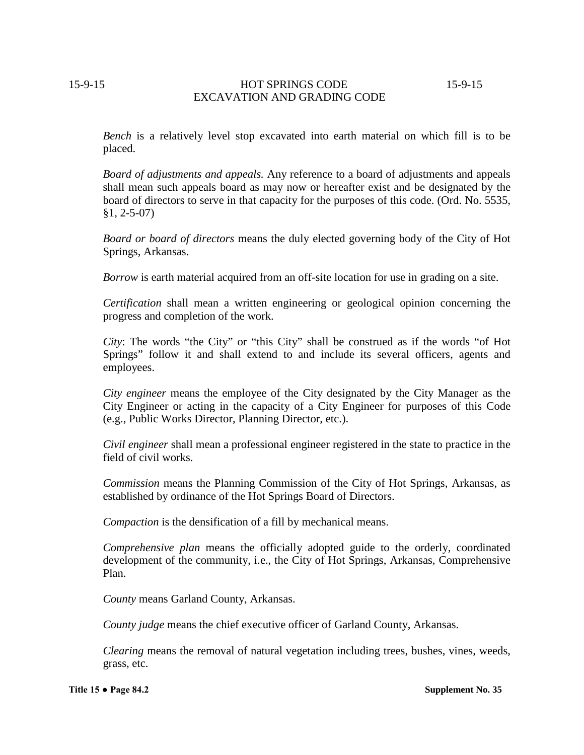# 15-9-15 HOT SPRINGS CODE 15-9-15 EXCAVATION AND GRADING CODE

*Bench* is a relatively level stop excavated into earth material on which fill is to be placed.

*Board of adjustments and appeals.* Any reference to a board of adjustments and appeals shall mean such appeals board as may now or hereafter exist and be designated by the board of directors to serve in that capacity for the purposes of this code. (Ord. No. 5535, §1, 2-5-07)

*Board or board of directors* means the duly elected governing body of the City of Hot Springs, Arkansas.

*Borrow* is earth material acquired from an off-site location for use in grading on a site.

*Certification* shall mean a written engineering or geological opinion concerning the progress and completion of the work.

*City*: The words "the City" or "this City" shall be construed as if the words "of Hot Springs" follow it and shall extend to and include its several officers, agents and employees.

*City engineer* means the employee of the City designated by the City Manager as the City Engineer or acting in the capacity of a City Engineer for purposes of this Code (e.g., Public Works Director, Planning Director, etc.).

*Civil engineer* shall mean a professional engineer registered in the state to practice in the field of civil works.

*Commission* means the Planning Commission of the City of Hot Springs, Arkansas, as established by ordinance of the Hot Springs Board of Directors.

*Compaction* is the densification of a fill by mechanical means.

*Comprehensive plan* means the officially adopted guide to the orderly, coordinated development of the community, i.e., the City of Hot Springs, Arkansas, Comprehensive Plan.

*County* means Garland County, Arkansas.

*County judge* means the chief executive officer of Garland County, Arkansas.

*Clearing* means the removal of natural vegetation including trees, bushes, vines, weeds, grass, etc.

**Title 15 ● Page 84.2 Supplement No. 35**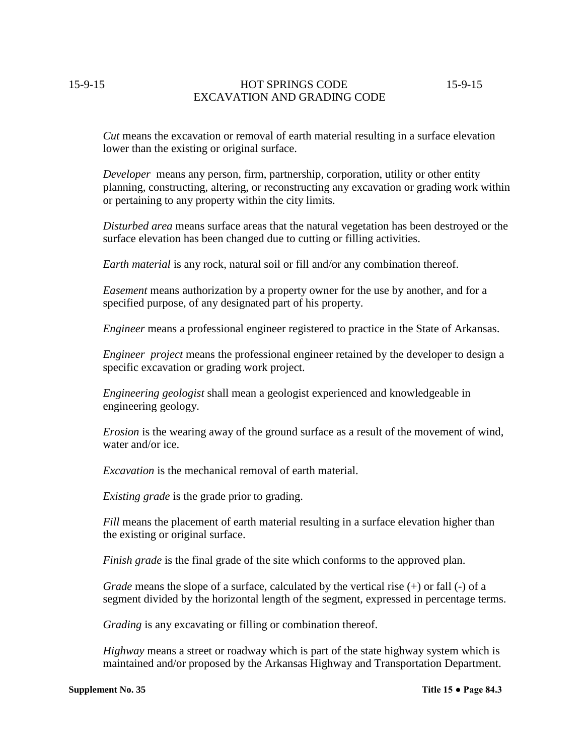# 15-9-15 HOT SPRINGS CODE 15-9-15 EXCAVATION AND GRADING CODE

*Cut* means the excavation or removal of earth material resulting in a surface elevation lower than the existing or original surface.

*Developer* means any person, firm, partnership, corporation, utility or other entity planning, constructing, altering, or reconstructing any excavation or grading work within or pertaining to any property within the city limits.

*Disturbed area* means surface areas that the natural vegetation has been destroyed or the surface elevation has been changed due to cutting or filling activities.

*Earth material* is any rock, natural soil or fill and/or any combination thereof.

*Easement* means authorization by a property owner for the use by another, and for a specified purpose, of any designated part of his property.

*Engineer* means a professional engineer registered to practice in the State of Arkansas.

*Engineer project* means the professional engineer retained by the developer to design a specific excavation or grading work project.

*Engineering geologist* shall mean a geologist experienced and knowledgeable in engineering geology.

*Erosion* is the wearing away of the ground surface as a result of the movement of wind, water and/or ice.

*Excavation* is the mechanical removal of earth material.

*Existing grade* is the grade prior to grading.

*Fill* means the placement of earth material resulting in a surface elevation higher than the existing or original surface.

*Finish grade* is the final grade of the site which conforms to the approved plan.

*Grade* means the slope of a surface, calculated by the vertical rise (+) or fall (-) of a segment divided by the horizontal length of the segment, expressed in percentage terms.

*Grading* is any excavating or filling or combination thereof.

*Highway* means a street or roadway which is part of the state highway system which is maintained and/or proposed by the Arkansas Highway and Transportation Department.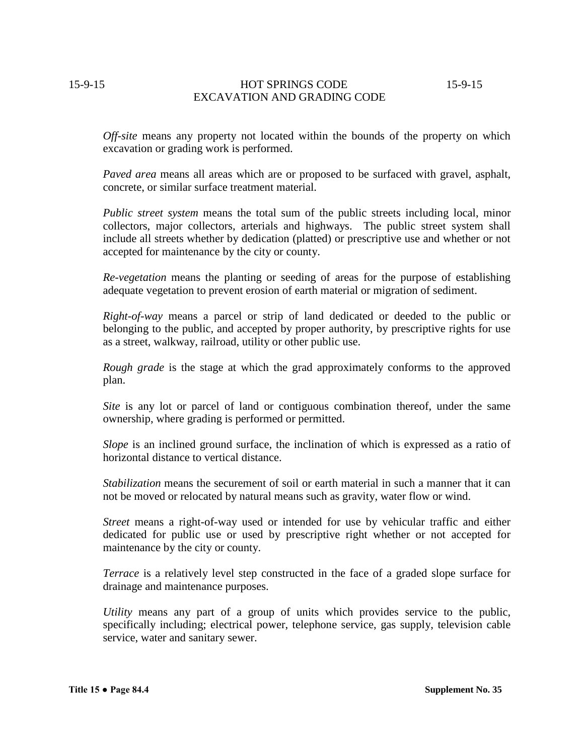15-9-15 HOT SPRINGS CODE 15-9-15 EXCAVATION AND GRADING CODE

*Off-site* means any property not located within the bounds of the property on which excavation or grading work is performed.

*Paved area* means all areas which are or proposed to be surfaced with gravel, asphalt, concrete, or similar surface treatment material.

*Public street system* means the total sum of the public streets including local, minor collectors, major collectors, arterials and highways. The public street system shall include all streets whether by dedication (platted) or prescriptive use and whether or not accepted for maintenance by the city or county.

*Re-vegetation* means the planting or seeding of areas for the purpose of establishing adequate vegetation to prevent erosion of earth material or migration of sediment.

*Right-of-way* means a parcel or strip of land dedicated or deeded to the public or belonging to the public, and accepted by proper authority, by prescriptive rights for use as a street, walkway, railroad, utility or other public use.

*Rough grade* is the stage at which the grad approximately conforms to the approved plan.

*Site* is any lot or parcel of land or contiguous combination thereof, under the same ownership, where grading is performed or permitted.

*Slope* is an inclined ground surface, the inclination of which is expressed as a ratio of horizontal distance to vertical distance.

*Stabilization* means the securement of soil or earth material in such a manner that it can not be moved or relocated by natural means such as gravity, water flow or wind.

*Street* means a right-of-way used or intended for use by vehicular traffic and either dedicated for public use or used by prescriptive right whether or not accepted for maintenance by the city or county.

*Terrace* is a relatively level step constructed in the face of a graded slope surface for drainage and maintenance purposes.

*Utility* means any part of a group of units which provides service to the public, specifically including; electrical power, telephone service, gas supply, television cable service, water and sanitary sewer.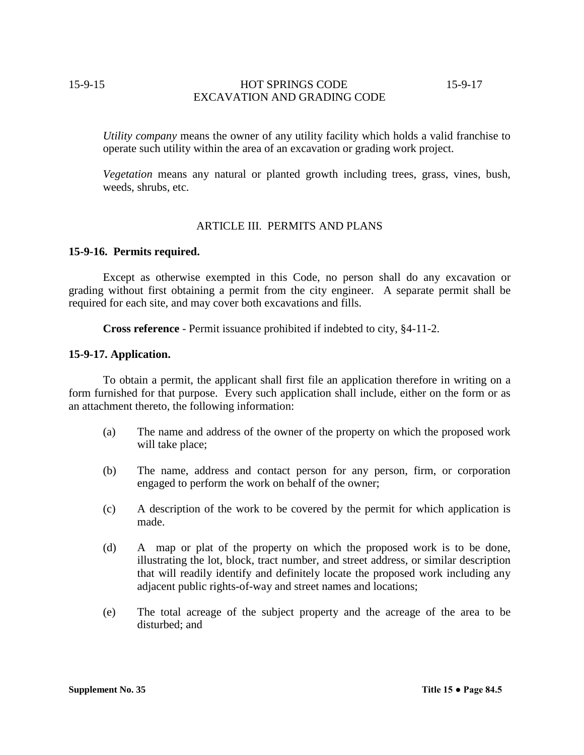# 15-9-15 HOT SPRINGS CODE 15-9-17 EXCAVATION AND GRADING CODE

*Utility company* means the owner of any utility facility which holds a valid franchise to operate such utility within the area of an excavation or grading work project.

*Vegetation* means any natural or planted growth including trees, grass, vines, bush, weeds, shrubs, etc.

## ARTICLE III. PERMITS AND PLANS

#### **15-9-16. Permits required.**

Except as otherwise exempted in this Code, no person shall do any excavation or grading without first obtaining a permit from the city engineer. A separate permit shall be required for each site, and may cover both excavations and fills.

**Cross reference** - Permit issuance prohibited if indebted to city, §4-11-2.

#### **15-9-17. Application.**

To obtain a permit, the applicant shall first file an application therefore in writing on a form furnished for that purpose. Every such application shall include, either on the form or as an attachment thereto, the following information:

- (a) The name and address of the owner of the property on which the proposed work will take place;
- (b) The name, address and contact person for any person, firm, or corporation engaged to perform the work on behalf of the owner;
- (c) A description of the work to be covered by the permit for which application is made.
- (d) A map or plat of the property on which the proposed work is to be done, illustrating the lot, block, tract number, and street address, or similar description that will readily identify and definitely locate the proposed work including any adjacent public rights-of-way and street names and locations;
- (e) The total acreage of the subject property and the acreage of the area to be disturbed; and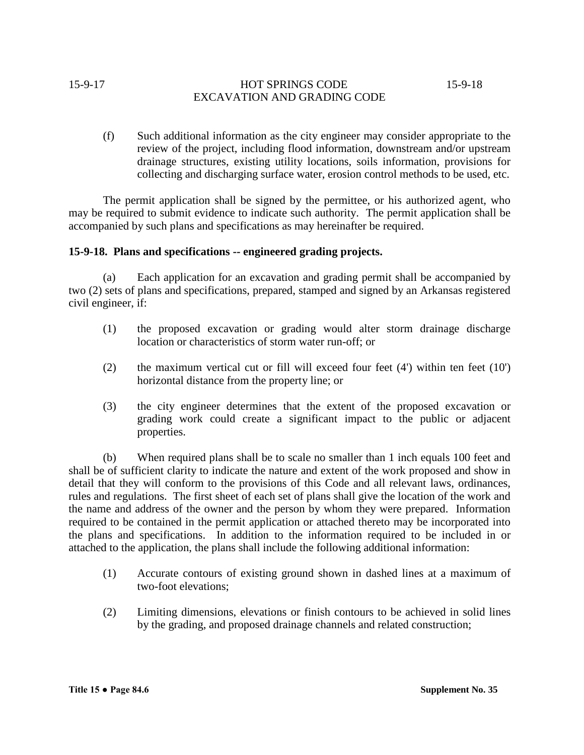# 15-9-17 **HOT SPRINGS CODE** 15-9-18 EXCAVATION AND GRADING CODE

(f) Such additional information as the city engineer may consider appropriate to the review of the project, including flood information, downstream and/or upstream drainage structures, existing utility locations, soils information, provisions for collecting and discharging surface water, erosion control methods to be used, etc.

The permit application shall be signed by the permittee, or his authorized agent, who may be required to submit evidence to indicate such authority. The permit application shall be accompanied by such plans and specifications as may hereinafter be required.

## **15-9-18. Plans and specifications -- engineered grading projects.**

(a) Each application for an excavation and grading permit shall be accompanied by two (2) sets of plans and specifications, prepared, stamped and signed by an Arkansas registered civil engineer, if:

- (1) the proposed excavation or grading would alter storm drainage discharge location or characteristics of storm water run-off; or
- (2) the maximum vertical cut or fill will exceed four feet (4') within ten feet (10') horizontal distance from the property line; or
- (3) the city engineer determines that the extent of the proposed excavation or grading work could create a significant impact to the public or adjacent properties.

(b) When required plans shall be to scale no smaller than 1 inch equals 100 feet and shall be of sufficient clarity to indicate the nature and extent of the work proposed and show in detail that they will conform to the provisions of this Code and all relevant laws, ordinances, rules and regulations. The first sheet of each set of plans shall give the location of the work and the name and address of the owner and the person by whom they were prepared. Information required to be contained in the permit application or attached thereto may be incorporated into the plans and specifications. In addition to the information required to be included in or attached to the application, the plans shall include the following additional information:

- (1) Accurate contours of existing ground shown in dashed lines at a maximum of two-foot elevations;
- (2) Limiting dimensions, elevations or finish contours to be achieved in solid lines by the grading, and proposed drainage channels and related construction;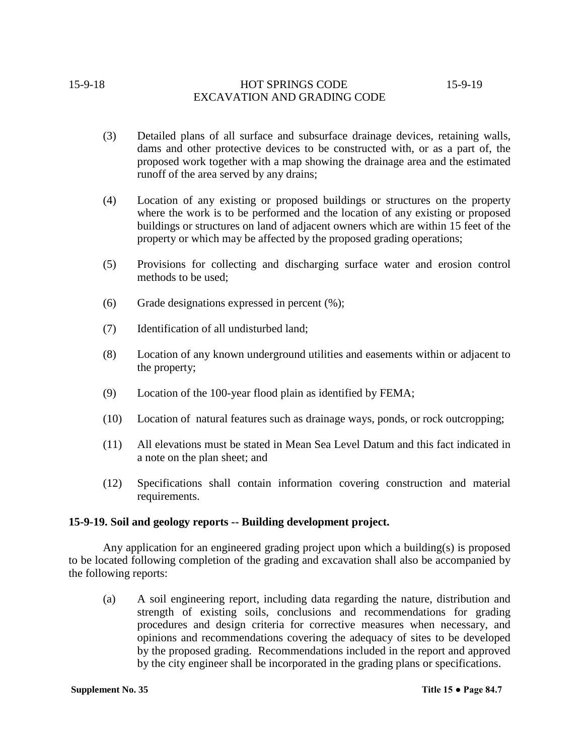# 15-9-18 HOT SPRINGS CODE 15-9-19 EXCAVATION AND GRADING CODE

- (3) Detailed plans of all surface and subsurface drainage devices, retaining walls, dams and other protective devices to be constructed with, or as a part of, the proposed work together with a map showing the drainage area and the estimated runoff of the area served by any drains;
- (4) Location of any existing or proposed buildings or structures on the property where the work is to be performed and the location of any existing or proposed buildings or structures on land of adjacent owners which are within 15 feet of the property or which may be affected by the proposed grading operations;
- (5) Provisions for collecting and discharging surface water and erosion control methods to be used;
- (6) Grade designations expressed in percent  $(\%)$ ;
- (7) Identification of all undisturbed land;
- (8) Location of any known underground utilities and easements within or adjacent to the property;
- (9) Location of the 100-year flood plain as identified by FEMA;
- (10) Location of natural features such as drainage ways, ponds, or rock outcropping;
- (11) All elevations must be stated in Mean Sea Level Datum and this fact indicated in a note on the plan sheet; and
- (12) Specifications shall contain information covering construction and material requirements.

## **15-9-19. Soil and geology reports -- Building development project.**

Any application for an engineered grading project upon which a building(s) is proposed to be located following completion of the grading and excavation shall also be accompanied by the following reports:

(a) A soil engineering report, including data regarding the nature, distribution and strength of existing soils, conclusions and recommendations for grading procedures and design criteria for corrective measures when necessary, and opinions and recommendations covering the adequacy of sites to be developed by the proposed grading. Recommendations included in the report and approved by the city engineer shall be incorporated in the grading plans or specifications.

**Supplement No. 35 Title 15 ● Page 84.7**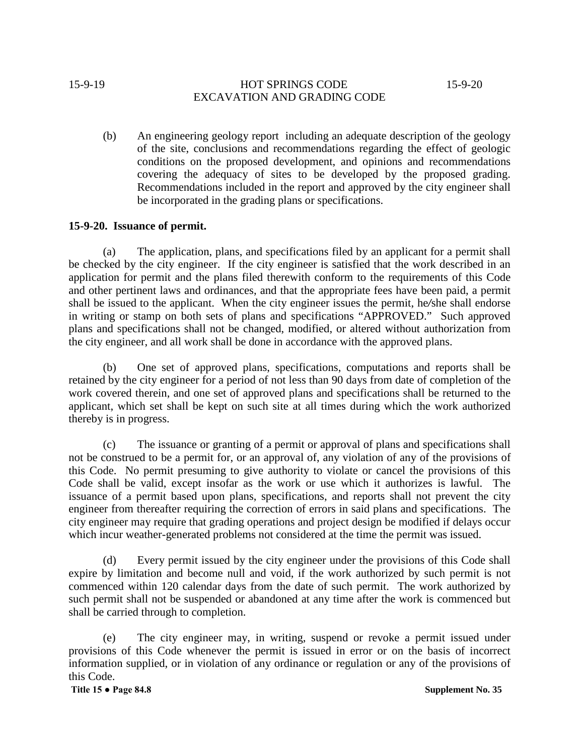# 15-9-19 HOT SPRINGS CODE 15-9-20 EXCAVATION AND GRADING CODE

(b) An engineering geology report including an adequate description of the geology of the site, conclusions and recommendations regarding the effect of geologic conditions on the proposed development, and opinions and recommendations covering the adequacy of sites to be developed by the proposed grading. Recommendations included in the report and approved by the city engineer shall be incorporated in the grading plans or specifications.

# **15-9-20. Issuance of permit.**

(a) The application, plans, and specifications filed by an applicant for a permit shall be checked by the city engineer. If the city engineer is satisfied that the work described in an application for permit and the plans filed therewith conform to the requirements of this Code and other pertinent laws and ordinances, and that the appropriate fees have been paid, a permit shall be issued to the applicant. When the city engineer issues the permit, he*/*she shall endorse in writing or stamp on both sets of plans and specifications "APPROVED." Such approved plans and specifications shall not be changed, modified, or altered without authorization from the city engineer, and all work shall be done in accordance with the approved plans.

(b) One set of approved plans, specifications, computations and reports shall be retained by the city engineer for a period of not less than 90 days from date of completion of the work covered therein, and one set of approved plans and specifications shall be returned to the applicant, which set shall be kept on such site at all times during which the work authorized thereby is in progress.

(c) The issuance or granting of a permit or approval of plans and specifications shall not be construed to be a permit for, or an approval of, any violation of any of the provisions of this Code. No permit presuming to give authority to violate or cancel the provisions of this Code shall be valid, except insofar as the work or use which it authorizes is lawful. The issuance of a permit based upon plans, specifications, and reports shall not prevent the city engineer from thereafter requiring the correction of errors in said plans and specifications. The city engineer may require that grading operations and project design be modified if delays occur which incur weather-generated problems not considered at the time the permit was issued.

(d) Every permit issued by the city engineer under the provisions of this Code shall expire by limitation and become null and void, if the work authorized by such permit is not commenced within 120 calendar days from the date of such permit. The work authorized by such permit shall not be suspended or abandoned at any time after the work is commenced but shall be carried through to completion.

(e) The city engineer may, in writing, suspend or revoke a permit issued under provisions of this Code whenever the permit is issued in error or on the basis of incorrect information supplied, or in violation of any ordinance or regulation or any of the provisions of this Code.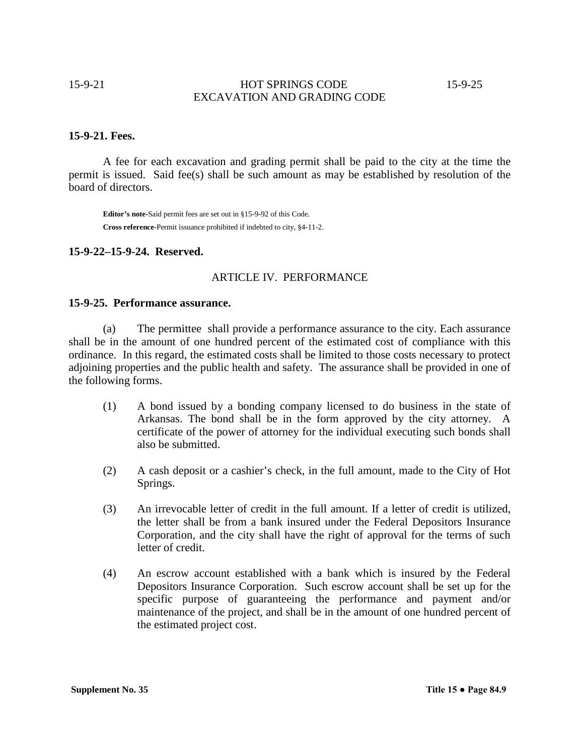15-9-21 HOT SPRINGS CODE 15-9-25 EXCAVATION AND GRADING CODE

#### **15-9-21. Fees.**

A fee for each excavation and grading permit shall be paid to the city at the time the permit is issued. Said fee(s) shall be such amount as may be established by resolution of the board of directors.

**Editor's note-**Said permit fees are set out in §15-9-92 of this Code. **Cross reference-**Permit issuance prohibited if indebted to city, §4-11-2.

# **15-9-22–15-9-24. Reserved.**

#### ARTICLE IV. PERFORMANCE

#### **15-9-25. Performance assurance.**

(a) The permittee shall provide a performance assurance to the city. Each assurance shall be in the amount of one hundred percent of the estimated cost of compliance with this ordinance. In this regard, the estimated costs shall be limited to those costs necessary to protect adjoining properties and the public health and safety. The assurance shall be provided in one of the following forms.

- (1) A bond issued by a bonding company licensed to do business in the state of Arkansas. The bond shall be in the form approved by the city attorney. A certificate of the power of attorney for the individual executing such bonds shall also be submitted.
- (2) A cash deposit or a cashier's check, in the full amount, made to the City of Hot Springs.
- (3) An irrevocable letter of credit in the full amount. If a letter of credit is utilized, the letter shall be from a bank insured under the Federal Depositors Insurance Corporation, and the city shall have the right of approval for the terms of such letter of credit.
- (4) An escrow account established with a bank which is insured by the Federal Depositors Insurance Corporation. Such escrow account shall be set up for the specific purpose of guaranteeing the performance and payment and/or maintenance of the project, and shall be in the amount of one hundred percent of the estimated project cost.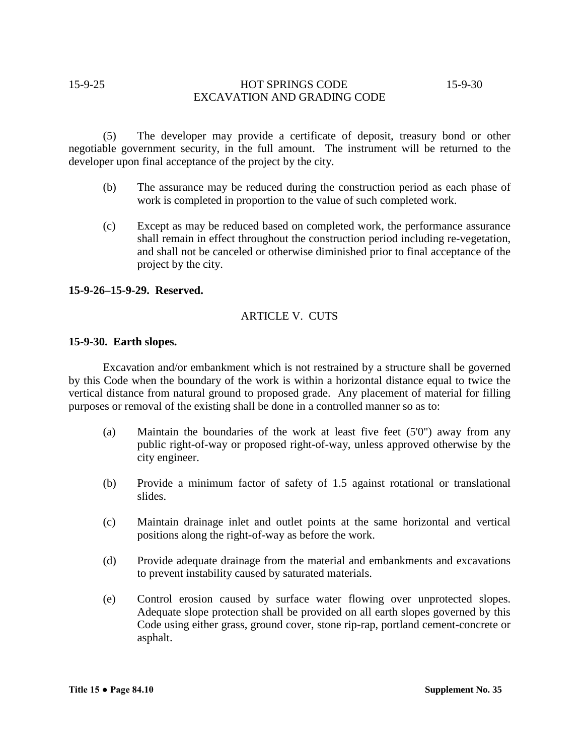# 15-9-25 HOT SPRINGS CODE 15-9-30 EXCAVATION AND GRADING CODE

(5) The developer may provide a certificate of deposit, treasury bond or other negotiable government security, in the full amount. The instrument will be returned to the developer upon final acceptance of the project by the city.

- (b) The assurance may be reduced during the construction period as each phase of work is completed in proportion to the value of such completed work.
- (c) Except as may be reduced based on completed work, the performance assurance shall remain in effect throughout the construction period including re-vegetation, and shall not be canceled or otherwise diminished prior to final acceptance of the project by the city.

#### **15-9-26–15-9-29. Reserved.**

# ARTICLE V. CUTS

#### **15-9-30. Earth slopes.**

Excavation and/or embankment which is not restrained by a structure shall be governed by this Code when the boundary of the work is within a horizontal distance equal to twice the vertical distance from natural ground to proposed grade. Any placement of material for filling purposes or removal of the existing shall be done in a controlled manner so as to:

- (a) Maintain the boundaries of the work at least five feet (5'0") away from any public right-of-way or proposed right-of-way, unless approved otherwise by the city engineer.
- (b) Provide a minimum factor of safety of 1.5 against rotational or translational slides.
- (c) Maintain drainage inlet and outlet points at the same horizontal and vertical positions along the right-of-way as before the work.
- (d) Provide adequate drainage from the material and embankments and excavations to prevent instability caused by saturated materials.
- (e) Control erosion caused by surface water flowing over unprotected slopes. Adequate slope protection shall be provided on all earth slopes governed by this Code using either grass, ground cover, stone rip-rap, portland cement-concrete or asphalt.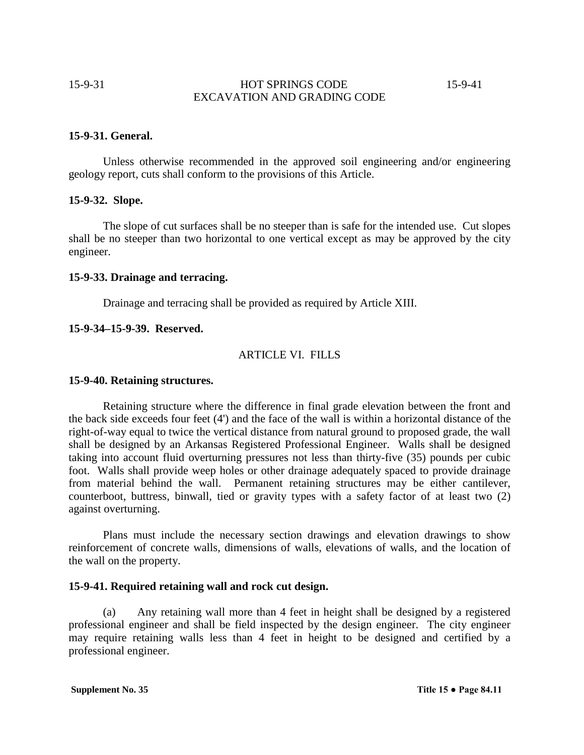15-9-31 HOT SPRINGS CODE 15-9-41 EXCAVATION AND GRADING CODE

#### **15-9-31. General.**

Unless otherwise recommended in the approved soil engineering and/or engineering geology report, cuts shall conform to the provisions of this Article.

## **15-9-32. Slope.**

The slope of cut surfaces shall be no steeper than is safe for the intended use. Cut slopes shall be no steeper than two horizontal to one vertical except as may be approved by the city engineer.

#### **15-9-33. Drainage and terracing.**

Drainage and terracing shall be provided as required by Article XIII.

#### **15-9-34–15-9-39. Reserved.**

#### ARTICLE VI. FILLS

#### **15-9-40. Retaining structures.**

Retaining structure where the difference in final grade elevation between the front and the back side exceeds four feet (4') and the face of the wall is within a horizontal distance of the right-of-way equal to twice the vertical distance from natural ground to proposed grade, the wall shall be designed by an Arkansas Registered Professional Engineer. Walls shall be designed taking into account fluid overturning pressures not less than thirty-five (35) pounds per cubic foot. Walls shall provide weep holes or other drainage adequately spaced to provide drainage from material behind the wall. Permanent retaining structures may be either cantilever, counterboot, buttress, binwall, tied or gravity types with a safety factor of at least two (2) against overturning.

Plans must include the necessary section drawings and elevation drawings to show reinforcement of concrete walls, dimensions of walls, elevations of walls, and the location of the wall on the property.

#### **15-9-41. Required retaining wall and rock cut design.**

(a) Any retaining wall more than 4 feet in height shall be designed by a registered professional engineer and shall be field inspected by the design engineer. The city engineer may require retaining walls less than 4 feet in height to be designed and certified by a professional engineer.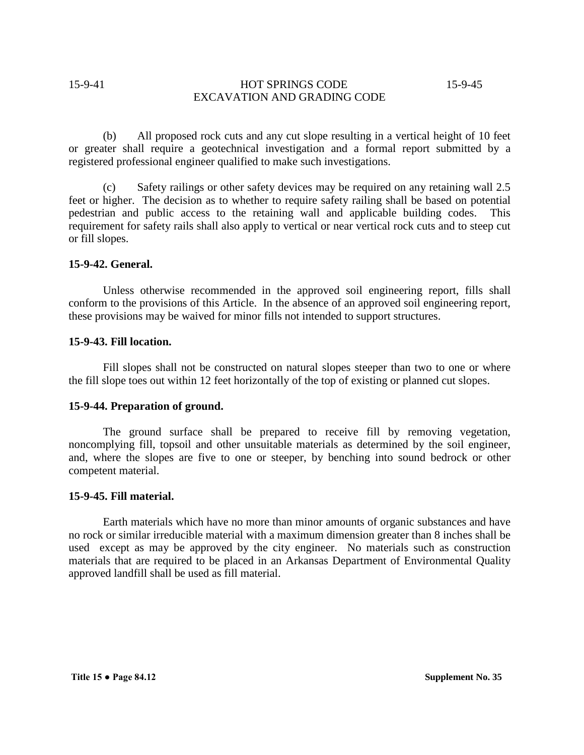# 15-9-41 **HOT SPRINGS CODE** 15-9-45 EXCAVATION AND GRADING CODE

(b) All proposed rock cuts and any cut slope resulting in a vertical height of 10 feet or greater shall require a geotechnical investigation and a formal report submitted by a registered professional engineer qualified to make such investigations.

(c) Safety railings or other safety devices may be required on any retaining wall 2.5 feet or higher. The decision as to whether to require safety railing shall be based on potential pedestrian and public access to the retaining wall and applicable building codes. This requirement for safety rails shall also apply to vertical or near vertical rock cuts and to steep cut or fill slopes.

## **15-9-42. General.**

Unless otherwise recommended in the approved soil engineering report, fills shall conform to the provisions of this Article. In the absence of an approved soil engineering report, these provisions may be waived for minor fills not intended to support structures.

## **15-9-43. Fill location.**

Fill slopes shall not be constructed on natural slopes steeper than two to one or where the fill slope toes out within 12 feet horizontally of the top of existing or planned cut slopes.

## **15-9-44. Preparation of ground.**

The ground surface shall be prepared to receive fill by removing vegetation, noncomplying fill, topsoil and other unsuitable materials as determined by the soil engineer, and, where the slopes are five to one or steeper, by benching into sound bedrock or other competent material.

#### **15-9-45. Fill material.**

Earth materials which have no more than minor amounts of organic substances and have no rock or similar irreducible material with a maximum dimension greater than 8 inches shall be used except as may be approved by the city engineer. No materials such as construction materials that are required to be placed in an Arkansas Department of Environmental Quality approved landfill shall be used as fill material.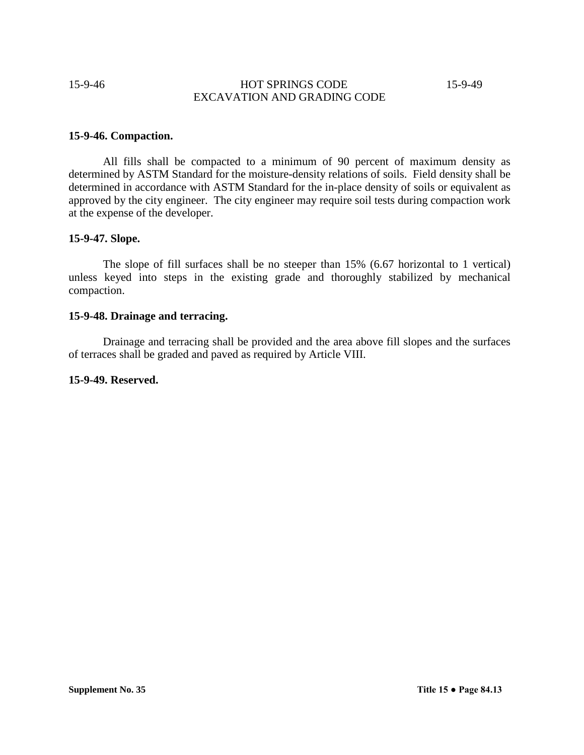# 15-9-46 **HOT SPRINGS CODE** 15-9-49 EXCAVATION AND GRADING CODE

## **15-9-46. Compaction.**

All fills shall be compacted to a minimum of 90 percent of maximum density as determined by ASTM Standard for the moisture-density relations of soils. Field density shall be determined in accordance with ASTM Standard for the in-place density of soils or equivalent as approved by the city engineer. The city engineer may require soil tests during compaction work at the expense of the developer.

#### **15-9-47. Slope.**

The slope of fill surfaces shall be no steeper than 15% (6.67 horizontal to 1 vertical) unless keyed into steps in the existing grade and thoroughly stabilized by mechanical compaction.

# **15-9-48. Drainage and terracing.**

Drainage and terracing shall be provided and the area above fill slopes and the surfaces of terraces shall be graded and paved as required by Article VIII.

## **15-9-49. Reserved.**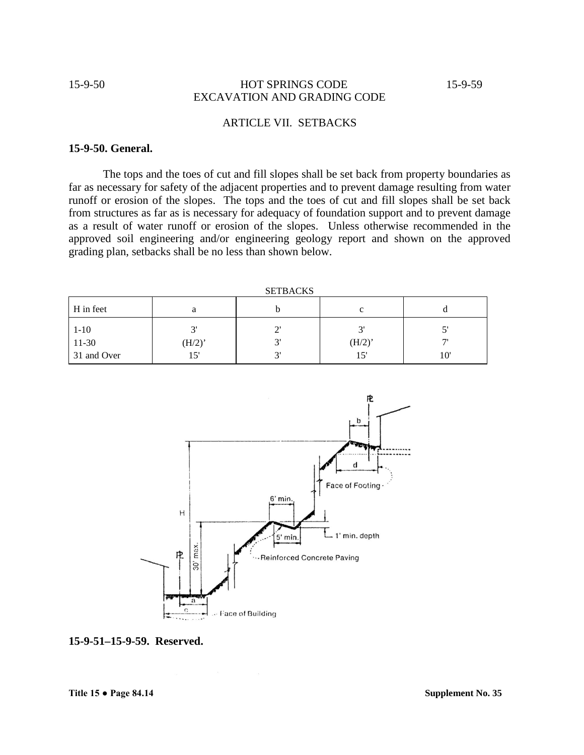## 15-9-50 HOT SPRINGS CODE 15-9-59 EXCAVATION AND GRADING CODE

# ARTICLE VII. SETBACKS

# **15-9-50. General.**

The tops and the toes of cut and fill slopes shall be set back from property boundaries as far as necessary for safety of the adjacent properties and to prevent damage resulting from water runoff or erosion of the slopes. The tops and the toes of cut and fill slopes shall be set back from structures as far as is necessary for adequacy of foundation support and to prevent damage as a result of water runoff or erosion of the slopes. Unless otherwise recommended in the approved soil engineering and/or engineering geology report and shown on the approved grading plan, setbacks shall be no less than shown below.

| ----------- |                      |           |              |                          |
|-------------|----------------------|-----------|--------------|--------------------------|
| H in feet   | а                    |           | c            |                          |
| $1-10$      | $\bigcap$            | ⌒         | $\mathbf{R}$ |                          |
| $11-30$     | $(H/2)$ <sup>*</sup> | $\sim$    | (H/2)        | $\overline{\phantom{a}}$ |
| 31 and Over | 15'                  | $\bigcap$ | 15'          | 10'                      |



**15-9-51–15-9-59. Reserved.**

**SETBACKS**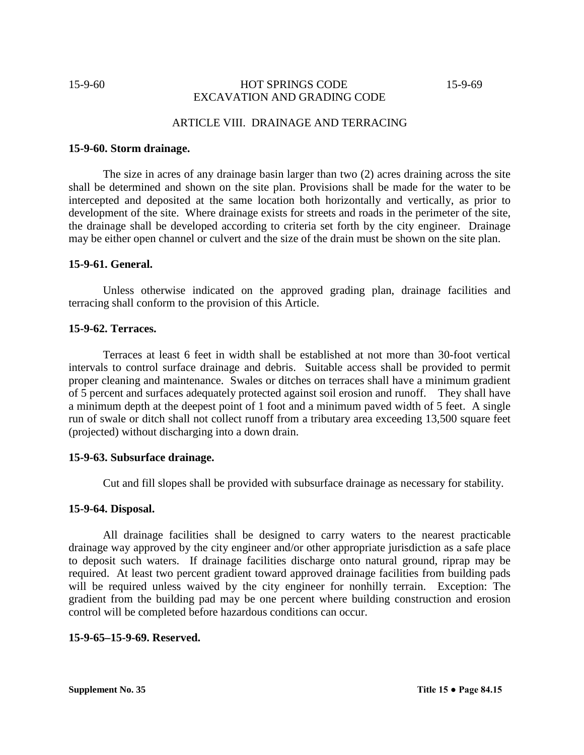# 15-9-60 **HOT SPRINGS CODE** 15-9-69 EXCAVATION AND GRADING CODE

# ARTICLE VIII. DRAINAGE AND TERRACING

#### **15-9-60. Storm drainage.**

The size in acres of any drainage basin larger than two (2) acres draining across the site shall be determined and shown on the site plan. Provisions shall be made for the water to be intercepted and deposited at the same location both horizontally and vertically, as prior to development of the site. Where drainage exists for streets and roads in the perimeter of the site, the drainage shall be developed according to criteria set forth by the city engineer. Drainage may be either open channel or culvert and the size of the drain must be shown on the site plan.

## **15-9-61. General.**

Unless otherwise indicated on the approved grading plan, drainage facilities and terracing shall conform to the provision of this Article.

## **15-9-62. Terraces.**

Terraces at least 6 feet in width shall be established at not more than 30-foot vertical intervals to control surface drainage and debris. Suitable access shall be provided to permit proper cleaning and maintenance. Swales or ditches on terraces shall have a minimum gradient of 5 percent and surfaces adequately protected against soil erosion and runoff. They shall have a minimum depth at the deepest point of 1 foot and a minimum paved width of 5 feet. A single run of swale or ditch shall not collect runoff from a tributary area exceeding 13,500 square feet (projected) without discharging into a down drain.

#### **15-9-63. Subsurface drainage.**

Cut and fill slopes shall be provided with subsurface drainage as necessary for stability.

## **15-9-64. Disposal.**

All drainage facilities shall be designed to carry waters to the nearest practicable drainage way approved by the city engineer and/or other appropriate jurisdiction as a safe place to deposit such waters. If drainage facilities discharge onto natural ground, riprap may be required. At least two percent gradient toward approved drainage facilities from building pads will be required unless waived by the city engineer for nonhilly terrain. Exception: The gradient from the building pad may be one percent where building construction and erosion control will be completed before hazardous conditions can occur.

#### **15-9-65–15-9-69. Reserved.**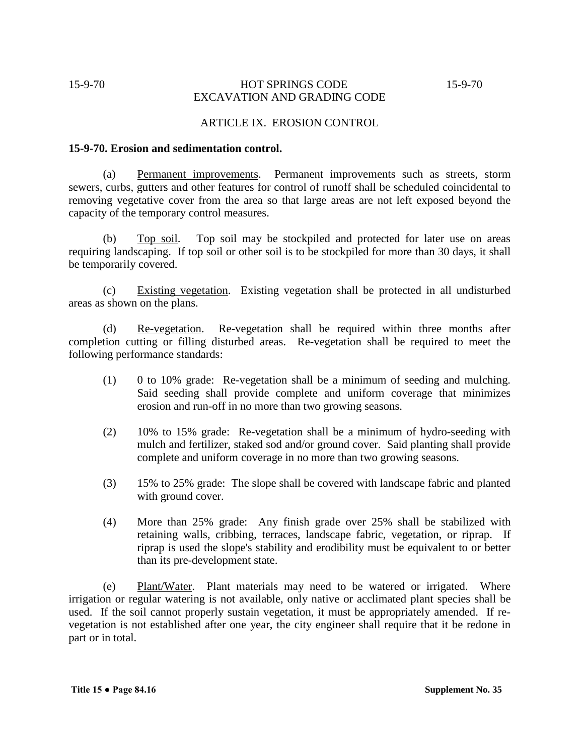# 15-9-70 **HOT SPRINGS CODE** 15-9-70 EXCAVATION AND GRADING CODE

## ARTICLE IX. EROSION CONTROL

#### **15-9-70. Erosion and sedimentation control.**

(a) Permanent improvements. Permanent improvements such as streets, storm sewers, curbs, gutters and other features for control of runoff shall be scheduled coincidental to removing vegetative cover from the area so that large areas are not left exposed beyond the capacity of the temporary control measures.

(b) Top soil. Top soil may be stockpiled and protected for later use on areas requiring landscaping. If top soil or other soil is to be stockpiled for more than 30 days, it shall be temporarily covered.

(c) Existing vegetation. Existing vegetation shall be protected in all undisturbed areas as shown on the plans.

(d) Re-vegetation. Re-vegetation shall be required within three months after completion cutting or filling disturbed areas. Re-vegetation shall be required to meet the following performance standards:

- (1) 0 to 10% grade: Re-vegetation shall be a minimum of seeding and mulching. Said seeding shall provide complete and uniform coverage that minimizes erosion and run-off in no more than two growing seasons.
- (2) 10% to 15% grade: Re-vegetation shall be a minimum of hydro-seeding with mulch and fertilizer, staked sod and/or ground cover. Said planting shall provide complete and uniform coverage in no more than two growing seasons.
- (3) 15% to 25% grade: The slope shall be covered with landscape fabric and planted with ground cover.
- (4) More than 25% grade: Any finish grade over 25% shall be stabilized with retaining walls, cribbing, terraces, landscape fabric, vegetation, or riprap. If riprap is used the slope's stability and erodibility must be equivalent to or better than its pre-development state.

(e) Plant/Water. Plant materials may need to be watered or irrigated. Where irrigation or regular watering is not available, only native or acclimated plant species shall be used. If the soil cannot properly sustain vegetation, it must be appropriately amended. If revegetation is not established after one year, the city engineer shall require that it be redone in part or in total.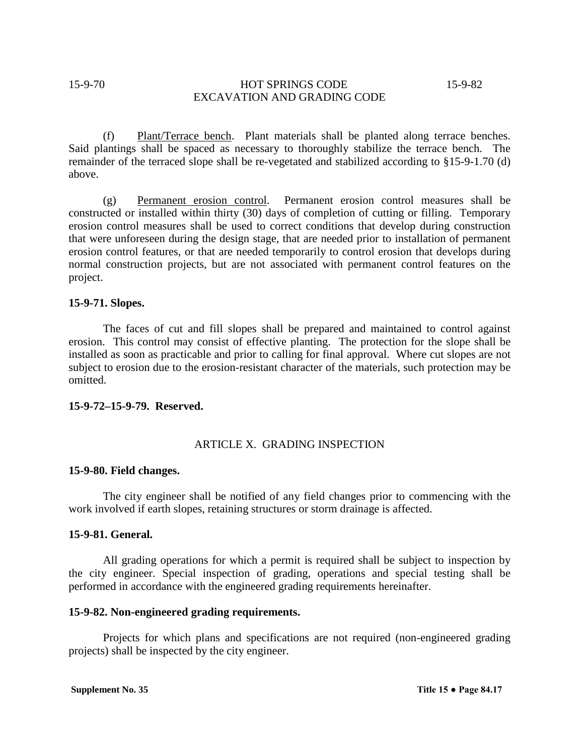# 15-9-70 **HOT SPRINGS CODE** 15-9-82 EXCAVATION AND GRADING CODE

(f) Plant/Terrace bench. Plant materials shall be planted along terrace benches. Said plantings shall be spaced as necessary to thoroughly stabilize the terrace bench. The remainder of the terraced slope shall be re-vegetated and stabilized according to §15-9-1.70 (d) above.

(g) Permanent erosion control. Permanent erosion control measures shall be constructed or installed within thirty (30) days of completion of cutting or filling. Temporary erosion control measures shall be used to correct conditions that develop during construction that were unforeseen during the design stage, that are needed prior to installation of permanent erosion control features, or that are needed temporarily to control erosion that develops during normal construction projects, but are not associated with permanent control features on the project.

#### **15-9-71. Slopes.**

The faces of cut and fill slopes shall be prepared and maintained to control against erosion. This control may consist of effective planting. The protection for the slope shall be installed as soon as practicable and prior to calling for final approval. Where cut slopes are not subject to erosion due to the erosion-resistant character of the materials, such protection may be omitted.

#### **15-9-72–15-9-79. Reserved.**

## ARTICLE X. GRADING INSPECTION

#### **15-9-80. Field changes.**

The city engineer shall be notified of any field changes prior to commencing with the work involved if earth slopes, retaining structures or storm drainage is affected.

# **15-9-81. General.**

All grading operations for which a permit is required shall be subject to inspection by the city engineer. Special inspection of grading, operations and special testing shall be performed in accordance with the engineered grading requirements hereinafter.

#### **15-9-82. Non-engineered grading requirements.**

Projects for which plans and specifications are not required (non-engineered grading projects) shall be inspected by the city engineer.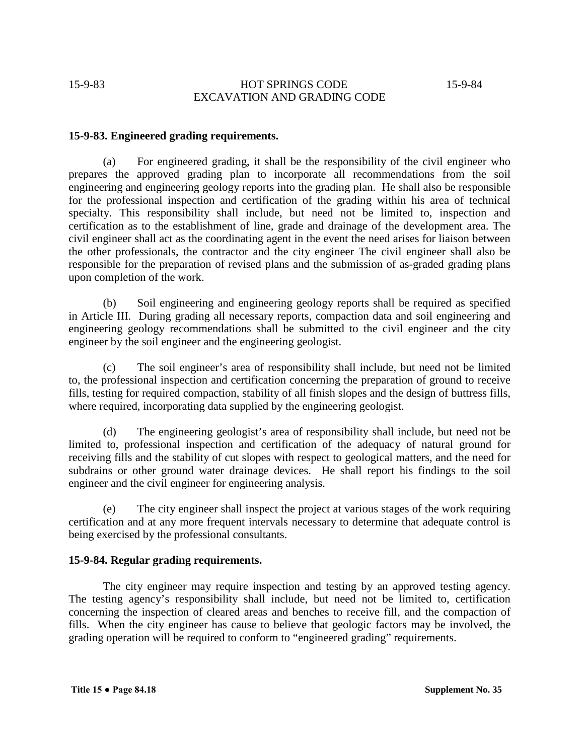# 15-9-83 HOT SPRINGS CODE 15-9-84 EXCAVATION AND GRADING CODE

## **15-9-83. Engineered grading requirements.**

(a) For engineered grading, it shall be the responsibility of the civil engineer who prepares the approved grading plan to incorporate all recommendations from the soil engineering and engineering geology reports into the grading plan. He shall also be responsible for the professional inspection and certification of the grading within his area of technical specialty. This responsibility shall include, but need not be limited to, inspection and certification as to the establishment of line, grade and drainage of the development area. The civil engineer shall act as the coordinating agent in the event the need arises for liaison between the other professionals, the contractor and the city engineer The civil engineer shall also be responsible for the preparation of revised plans and the submission of as-graded grading plans upon completion of the work.

(b) Soil engineering and engineering geology reports shall be required as specified in Article III. During grading all necessary reports, compaction data and soil engineering and engineering geology recommendations shall be submitted to the civil engineer and the city engineer by the soil engineer and the engineering geologist.

(c) The soil engineer's area of responsibility shall include, but need not be limited to, the professional inspection and certification concerning the preparation of ground to receive fills, testing for required compaction, stability of all finish slopes and the design of buttress fills, where required, incorporating data supplied by the engineering geologist.

(d) The engineering geologist's area of responsibility shall include, but need not be limited to, professional inspection and certification of the adequacy of natural ground for receiving fills and the stability of cut slopes with respect to geological matters, and the need for subdrains or other ground water drainage devices. He shall report his findings to the soil engineer and the civil engineer for engineering analysis.

(e) The city engineer shall inspect the project at various stages of the work requiring certification and at any more frequent intervals necessary to determine that adequate control is being exercised by the professional consultants.

#### **15-9-84. Regular grading requirements.**

The city engineer may require inspection and testing by an approved testing agency. The testing agency's responsibility shall include, but need not be limited to, certification concerning the inspection of cleared areas and benches to receive fill, and the compaction of fills. When the city engineer has cause to believe that geologic factors may be involved, the grading operation will be required to conform to "engineered grading" requirements.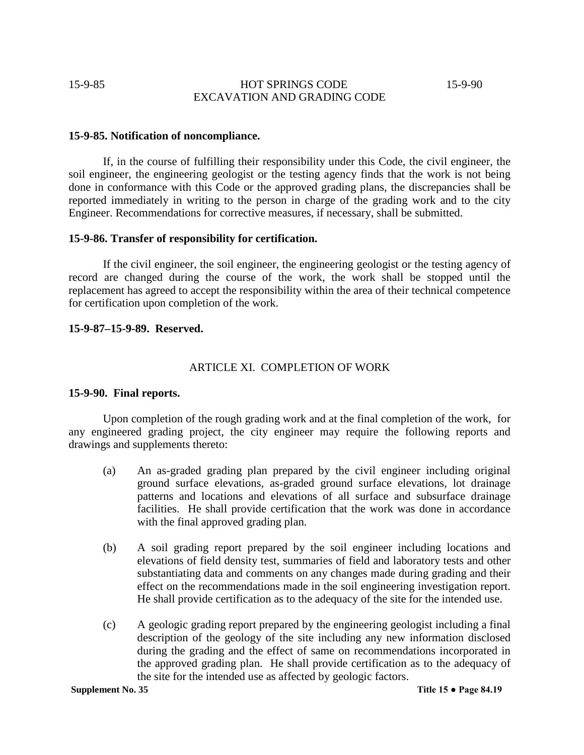# 15-9-85 HOT SPRINGS CODE 15-9-90 EXCAVATION AND GRADING CODE

#### **15-9-85. Notification of noncompliance.**

If, in the course of fulfilling their responsibility under this Code, the civil engineer, the soil engineer, the engineering geologist or the testing agency finds that the work is not being done in conformance with this Code or the approved grading plans, the discrepancies shall be reported immediately in writing to the person in charge of the grading work and to the city Engineer. Recommendations for corrective measures, if necessary, shall be submitted.

#### **15-9-86. Transfer of responsibility for certification.**

If the civil engineer, the soil engineer, the engineering geologist or the testing agency of record are changed during the course of the work, the work shall be stopped until the replacement has agreed to accept the responsibility within the area of their technical competence for certification upon completion of the work.

#### **15-9-87–15-9-89. Reserved.**

## ARTICLE XI. COMPLETION OF WORK

#### **15-9-90. Final reports.**

Upon completion of the rough grading work and at the final completion of the work, for any engineered grading project, the city engineer may require the following reports and drawings and supplements thereto:

- (a) An as-graded grading plan prepared by the civil engineer including original ground surface elevations, as-graded ground surface elevations, lot drainage patterns and locations and elevations of all surface and subsurface drainage facilities. He shall provide certification that the work was done in accordance with the final approved grading plan.
- (b) A soil grading report prepared by the soil engineer including locations and elevations of field density test, summaries of field and laboratory tests and other substantiating data and comments on any changes made during grading and their effect on the recommendations made in the soil engineering investigation report. He shall provide certification as to the adequacy of the site for the intended use.
- (c) A geologic grading report prepared by the engineering geologist including a final description of the geology of the site including any new information disclosed during the grading and the effect of same on recommendations incorporated in the approved grading plan. He shall provide certification as to the adequacy of the site for the intended use as affected by geologic factors.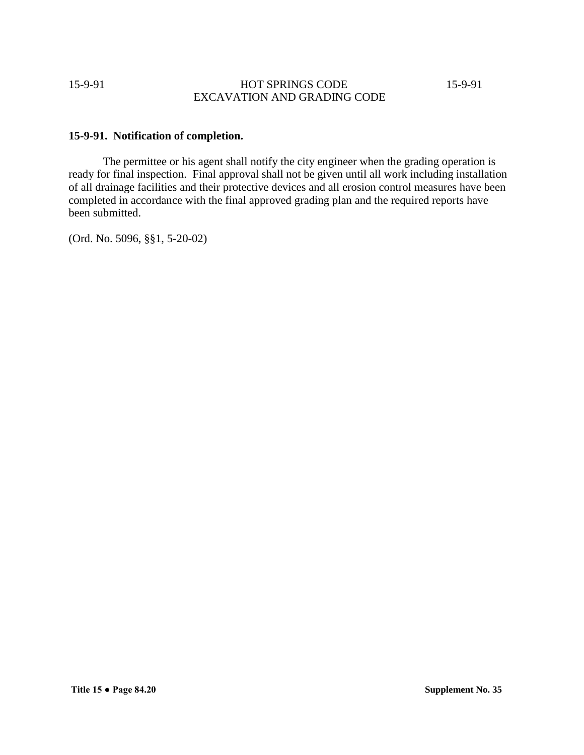15-9-91 HOT SPRINGS CODE 15-9-91 EXCAVATION AND GRADING CODE

# **15-9-91. Notification of completion.**

The permittee or his agent shall notify the city engineer when the grading operation is ready for final inspection. Final approval shall not be given until all work including installation of all drainage facilities and their protective devices and all erosion control measures have been completed in accordance with the final approved grading plan and the required reports have been submitted.

(Ord. No. 5096, §§1, 5-20-02)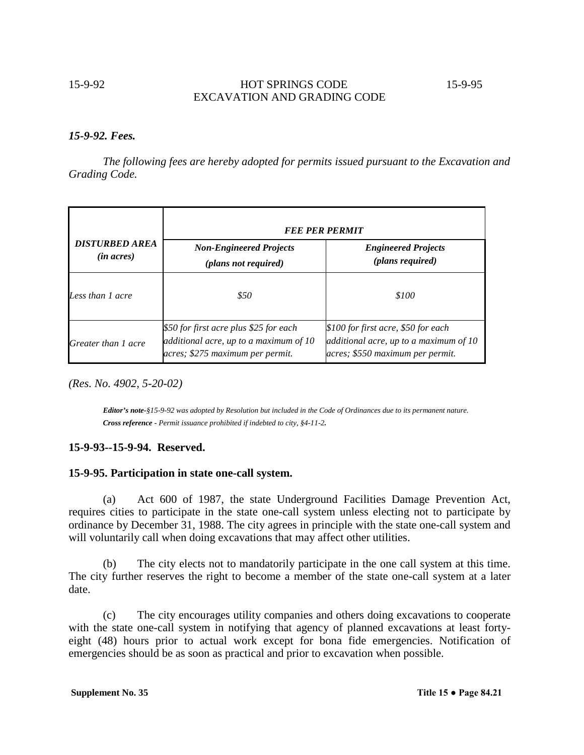# 15-9-92 HOT SPRINGS CODE 15-9-95 EXCAVATION AND GRADING CODE

## *15-9-92. Fees.*

*The following fees are hereby adopted for permits issued pursuant to the Excavation and Grading Code.*

|                                              | <b>FEE PER PERMIT</b>                                                                                                |                                                                                                                   |  |  |
|----------------------------------------------|----------------------------------------------------------------------------------------------------------------------|-------------------------------------------------------------------------------------------------------------------|--|--|
| <b>DISTURBED AREA</b><br>( <i>in acres</i> ) | <b>Non-Engineered Projects</b><br>(plans not required)                                                               | <b>Engineered Projects</b><br>(plans required)                                                                    |  |  |
| Less than 1 acre                             | \$50                                                                                                                 | \$100                                                                                                             |  |  |
| Greater than 1 acre                          | \$50 for first acre plus \$25 for each<br>additional acre, up to a maximum of 10<br>acres; \$275 maximum per permit. | \$100 for first acre, \$50 for each<br>additional acre, up to a maximum of 10<br>acres; \$550 maximum per permit. |  |  |

*(Res. No. 4902, 5-20-02)*

*Editor's note-§15-9-92 was adopted by Resolution but included in the Code of Ordinances due to its permanent nature. Cross reference - Permit issuance prohibited if indebted to city, §4-11-2.*

## **15-9-93--15-9-94. Reserved.**

## **15-9-95. Participation in state one-call system.**

(a) Act 600 of 1987, the state Underground Facilities Damage Prevention Act, requires cities to participate in the state one-call system unless electing not to participate by ordinance by December 31, 1988. The city agrees in principle with the state one-call system and will voluntarily call when doing excavations that may affect other utilities.

(b) The city elects not to mandatorily participate in the one call system at this time. The city further reserves the right to become a member of the state one-call system at a later date.

(c) The city encourages utility companies and others doing excavations to cooperate with the state one-call system in notifying that agency of planned excavations at least fortyeight (48) hours prior to actual work except for bona fide emergencies. Notification of emergencies should be as soon as practical and prior to excavation when possible.